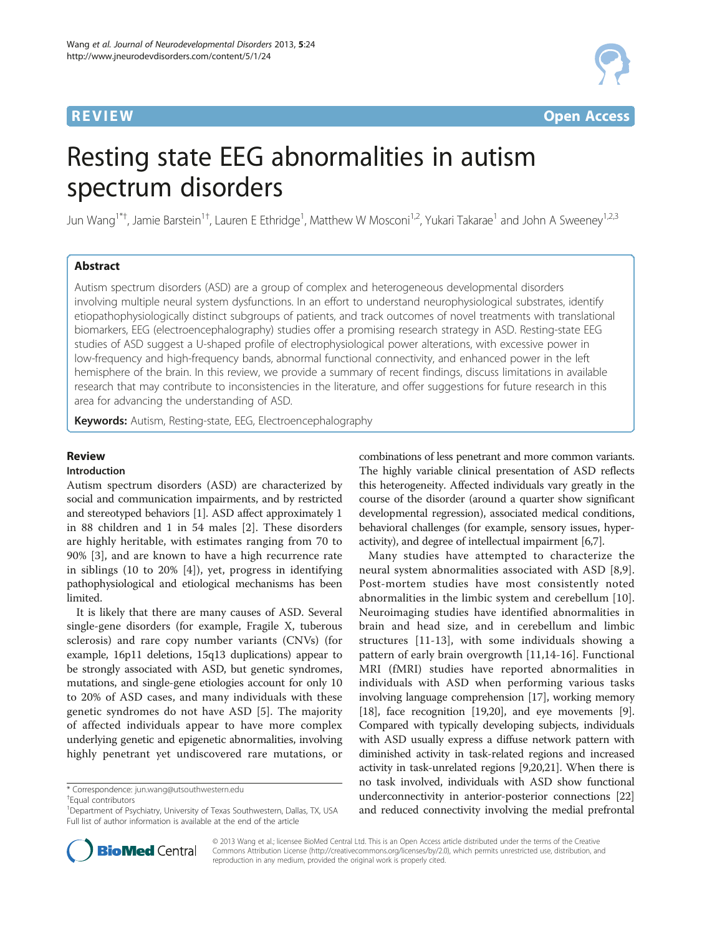## **REVIEW CONTROL** CONTROL CONTROL CONTROL CONTROL CONTROL CONTROL CONTROL CONTROL CONTROL CONTROL CONTROL CONTROL CONTROL CONTROL CONTROL CONTROL CONTROL CONTROL CONTROL CONTROL CONTROL CONTROL CONTROL CONTROL CONTROL CONTR



# Resting state EEG abnormalities in autism spectrum disorders

Jun Wang<sup>1\*†</sup>, Jamie Barstein<sup>1†</sup>, Lauren E Ethridge<sup>1</sup>, Matthew W Mosconi<sup>1,2</sup>, Yukari Takarae<sup>1</sup> and John A Sweeney<sup>1,2,3</sup>

## Abstract

Autism spectrum disorders (ASD) are a group of complex and heterogeneous developmental disorders involving multiple neural system dysfunctions. In an effort to understand neurophysiological substrates, identify etiopathophysiologically distinct subgroups of patients, and track outcomes of novel treatments with translational biomarkers, EEG (electroencephalography) studies offer a promising research strategy in ASD. Resting-state EEG studies of ASD suggest a U-shaped profile of electrophysiological power alterations, with excessive power in low-frequency and high-frequency bands, abnormal functional connectivity, and enhanced power in the left hemisphere of the brain. In this review, we provide a summary of recent findings, discuss limitations in available research that may contribute to inconsistencies in the literature, and offer suggestions for future research in this area for advancing the understanding of ASD.

Keywords: Autism, Resting-state, EEG, Electroencephalography

## Review

## Introduction

Autism spectrum disorders (ASD) are characterized by social and communication impairments, and by restricted and stereotyped behaviors [[1\]](#page-10-0). ASD affect approximately 1 in 88 children and 1 in 54 males [[2\]](#page-10-0). These disorders are highly heritable, with estimates ranging from 70 to 90% [[3](#page-10-0)], and are known to have a high recurrence rate in siblings (10 to 20% [\[4](#page-10-0)]), yet, progress in identifying pathophysiological and etiological mechanisms has been limited.

It is likely that there are many causes of ASD. Several single-gene disorders (for example, Fragile X, tuberous sclerosis) and rare copy number variants (CNVs) (for example, 16p11 deletions, 15q13 duplications) appear to be strongly associated with ASD, but genetic syndromes, mutations, and single-gene etiologies account for only 10 to 20% of ASD cases, and many individuals with these genetic syndromes do not have ASD [[5](#page-10-0)]. The majority of affected individuals appear to have more complex underlying genetic and epigenetic abnormalities, involving highly penetrant yet undiscovered rare mutations, or combinations of less penetrant and more common variants. The highly variable clinical presentation of ASD reflects this heterogeneity. Affected individuals vary greatly in the course of the disorder (around a quarter show significant developmental regression), associated medical conditions, behavioral challenges (for example, sensory issues, hyperactivity), and degree of intellectual impairment [\[6,7](#page-10-0)].

Many studies have attempted to characterize the neural system abnormalities associated with ASD [[8,9](#page-10-0)]. Post-mortem studies have most consistently noted abnormalities in the limbic system and cerebellum [\[10](#page-10-0)]. Neuroimaging studies have identified abnormalities in brain and head size, and in cerebellum and limbic structures [[11-13](#page-10-0)], with some individuals showing a pattern of early brain overgrowth [[11,14](#page-10-0)-[16\]](#page-10-0). Functional MRI (fMRI) studies have reported abnormalities in individuals with ASD when performing various tasks involving language comprehension [\[17\]](#page-10-0), working memory [[18](#page-10-0)], face recognition [\[19,20\]](#page-10-0), and eye movements [[9](#page-10-0)]. Compared with typically developing subjects, individuals with ASD usually express a diffuse network pattern with diminished activity in task-related regions and increased activity in task-unrelated regions [[9,20,21\]](#page-10-0). When there is no task involved, individuals with ASD show functional underconnectivity in anterior-posterior connections [[22](#page-10-0)] and reduced connectivity involving the medial prefrontal



© 2013 Wang et al.; licensee BioMed Central Ltd. This is an Open Access article distributed under the terms of the Creative Commons Attribution License [\(http://creativecommons.org/licenses/by/2.0\)](http://creativecommons.org/licenses/by/2.0), which permits unrestricted use, distribution, and reproduction in any medium, provided the original work is properly cited.

<sup>\*</sup> Correspondence: [jun.wang@utsouthwestern.edu](mailto:jun.wang@utsouthwestern.edu) †

Equal contributors

<sup>&</sup>lt;sup>1</sup>Department of Psychiatry, University of Texas Southwestern, Dallas, TX, USA Full list of author information is available at the end of the article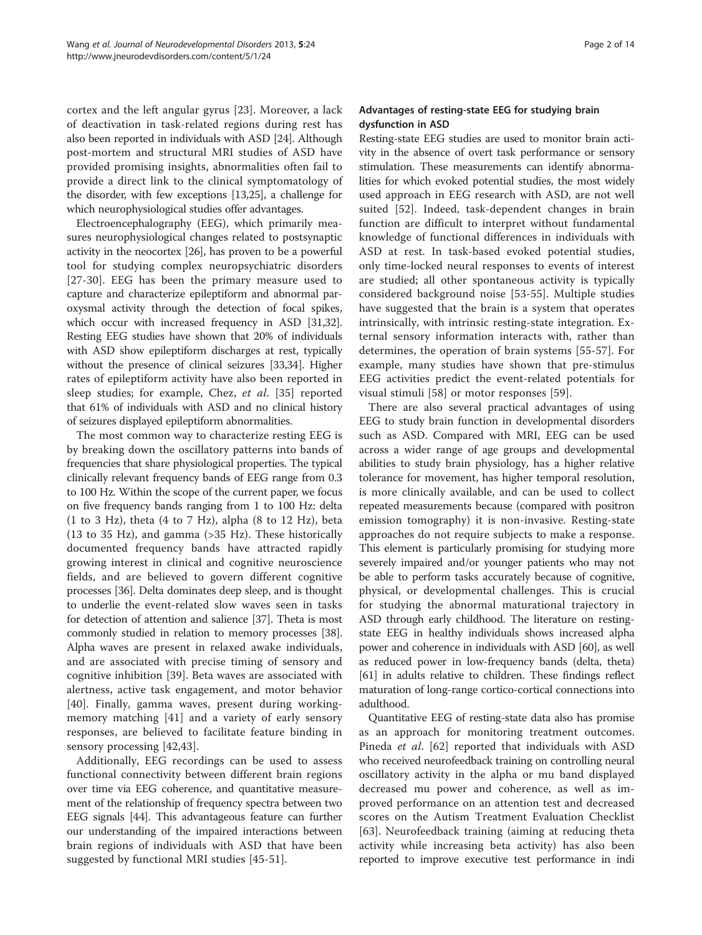cortex and the left angular gyrus [[23\]](#page-10-0). Moreover, a lack of deactivation in task-related regions during rest has also been reported in individuals with ASD [\[24\]](#page-10-0). Although post-mortem and structural MRI studies of ASD have provided promising insights, abnormalities often fail to provide a direct link to the clinical symptomatology of the disorder, with few exceptions [\[13,25\]](#page-10-0), a challenge for which neurophysiological studies offer advantages.

Electroencephalography (EEG), which primarily measures neurophysiological changes related to postsynaptic activity in the neocortex [\[26\]](#page-11-0), has proven to be a powerful tool for studying complex neuropsychiatric disorders [[27-30\]](#page-11-0). EEG has been the primary measure used to capture and characterize epileptiform and abnormal paroxysmal activity through the detection of focal spikes, which occur with increased frequency in ASD [\[31,32](#page-11-0)]. Resting EEG studies have shown that 20% of individuals with ASD show epileptiform discharges at rest, typically without the presence of clinical seizures [\[33,34](#page-11-0)]. Higher rates of epileptiform activity have also been reported in sleep studies; for example, Chez, et al. [[35\]](#page-11-0) reported that 61% of individuals with ASD and no clinical history of seizures displayed epileptiform abnormalities.

The most common way to characterize resting EEG is by breaking down the oscillatory patterns into bands of frequencies that share physiological properties. The typical clinically relevant frequency bands of EEG range from 0.3 to 100 Hz. Within the scope of the current paper, we focus on five frequency bands ranging from 1 to 100 Hz: delta  $(1$  to 3 Hz), theta  $(4$  to 7 Hz), alpha  $(8$  to 12 Hz), beta (13 to 35 Hz), and gamma (>35 Hz). These historically documented frequency bands have attracted rapidly growing interest in clinical and cognitive neuroscience fields, and are believed to govern different cognitive processes [\[36\]](#page-11-0). Delta dominates deep sleep, and is thought to underlie the event-related slow waves seen in tasks for detection of attention and salience [\[37](#page-11-0)]. Theta is most commonly studied in relation to memory processes [[38](#page-11-0)]. Alpha waves are present in relaxed awake individuals, and are associated with precise timing of sensory and cognitive inhibition [\[39](#page-11-0)]. Beta waves are associated with alertness, active task engagement, and motor behavior [[40\]](#page-11-0). Finally, gamma waves, present during workingmemory matching [[41\]](#page-11-0) and a variety of early sensory responses, are believed to facilitate feature binding in sensory processing [[42,43](#page-11-0)].

Additionally, EEG recordings can be used to assess functional connectivity between different brain regions over time via EEG coherence, and quantitative measurement of the relationship of frequency spectra between two EEG signals [\[44\]](#page-11-0). This advantageous feature can further our understanding of the impaired interactions between brain regions of individuals with ASD that have been suggested by functional MRI studies [[45-51](#page-11-0)].

## Advantages of resting-state EEG for studying brain dysfunction in ASD

Resting-state EEG studies are used to monitor brain activity in the absence of overt task performance or sensory stimulation. These measurements can identify abnormalities for which evoked potential studies, the most widely used approach in EEG research with ASD, are not well suited [\[52](#page-11-0)]. Indeed, task-dependent changes in brain function are difficult to interpret without fundamental knowledge of functional differences in individuals with ASD at rest. In task-based evoked potential studies, only time-locked neural responses to events of interest are studied; all other spontaneous activity is typically considered background noise [[53-55](#page-11-0)]. Multiple studies have suggested that the brain is a system that operates intrinsically, with intrinsic resting-state integration. External sensory information interacts with, rather than determines, the operation of brain systems [[55-57\]](#page-11-0). For example, many studies have shown that pre-stimulus EEG activities predict the event-related potentials for visual stimuli [\[58](#page-11-0)] or motor responses [[59\]](#page-11-0).

There are also several practical advantages of using EEG to study brain function in developmental disorders such as ASD. Compared with MRI, EEG can be used across a wider range of age groups and developmental abilities to study brain physiology, has a higher relative tolerance for movement, has higher temporal resolution, is more clinically available, and can be used to collect repeated measurements because (compared with positron emission tomography) it is non-invasive. Resting-state approaches do not require subjects to make a response. This element is particularly promising for studying more severely impaired and/or younger patients who may not be able to perform tasks accurately because of cognitive, physical, or developmental challenges. This is crucial for studying the abnormal maturational trajectory in ASD through early childhood. The literature on restingstate EEG in healthy individuals shows increased alpha power and coherence in individuals with ASD [\[60\]](#page-11-0), as well as reduced power in low-frequency bands (delta, theta) [[61](#page-11-0)] in adults relative to children. These findings reflect maturation of long-range cortico-cortical connections into adulthood.

Quantitative EEG of resting-state data also has promise as an approach for monitoring treatment outcomes. Pineda et al. [[62\]](#page-11-0) reported that individuals with ASD who received neurofeedback training on controlling neural oscillatory activity in the alpha or mu band displayed decreased mu power and coherence, as well as improved performance on an attention test and decreased scores on the Autism Treatment Evaluation Checklist [[63\]](#page-11-0). Neurofeedback training (aiming at reducing theta activity while increasing beta activity) has also been reported to improve executive test performance in indi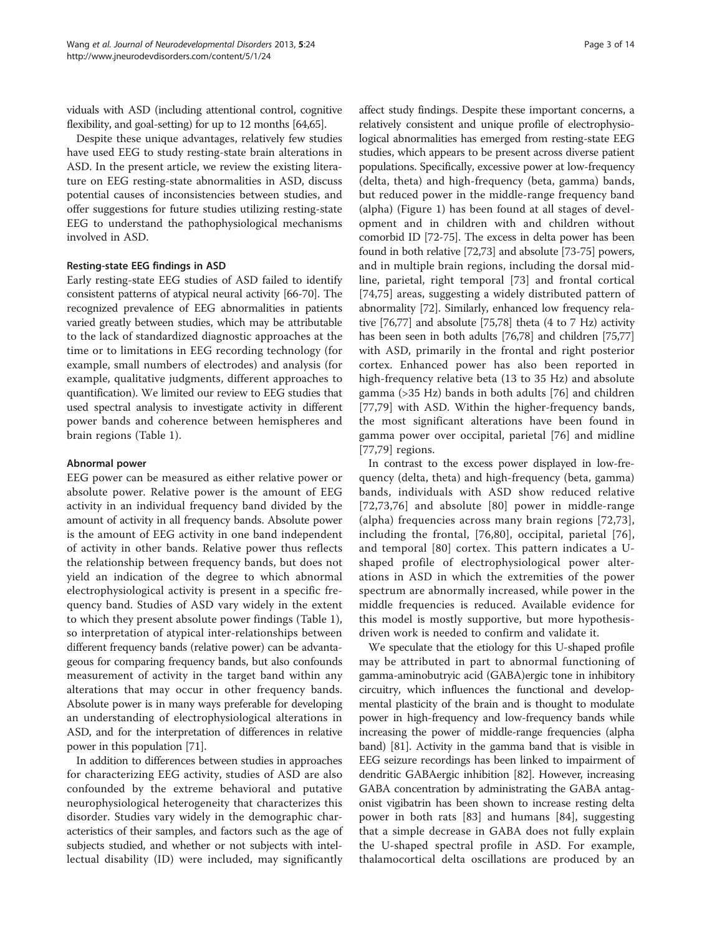viduals with ASD (including attentional control, cognitive flexibility, and goal-setting) for up to 12 months [\[64,65](#page-11-0)].

Despite these unique advantages, relatively few studies have used EEG to study resting-state brain alterations in ASD. In the present article, we review the existing literature on EEG resting-state abnormalities in ASD, discuss potential causes of inconsistencies between studies, and offer suggestions for future studies utilizing resting-state EEG to understand the pathophysiological mechanisms involved in ASD.

#### Resting-state EEG findings in ASD

Early resting-state EEG studies of ASD failed to identify consistent patterns of atypical neural activity [\[66](#page-11-0)-[70](#page-11-0)]. The recognized prevalence of EEG abnormalities in patients varied greatly between studies, which may be attributable to the lack of standardized diagnostic approaches at the time or to limitations in EEG recording technology (for example, small numbers of electrodes) and analysis (for example, qualitative judgments, different approaches to quantification). We limited our review to EEG studies that used spectral analysis to investigate activity in different power bands and coherence between hemispheres and brain regions (Table [1](#page-3-0)).

#### Abnormal power

EEG power can be measured as either relative power or absolute power. Relative power is the amount of EEG activity in an individual frequency band divided by the amount of activity in all frequency bands. Absolute power is the amount of EEG activity in one band independent of activity in other bands. Relative power thus reflects the relationship between frequency bands, but does not yield an indication of the degree to which abnormal electrophysiological activity is present in a specific frequency band. Studies of ASD vary widely in the extent to which they present absolute power findings (Table [1](#page-3-0)), so interpretation of atypical inter-relationships between different frequency bands (relative power) can be advantageous for comparing frequency bands, but also confounds measurement of activity in the target band within any alterations that may occur in other frequency bands. Absolute power is in many ways preferable for developing an understanding of electrophysiological alterations in ASD, and for the interpretation of differences in relative power in this population [\[71](#page-11-0)].

In addition to differences between studies in approaches for characterizing EEG activity, studies of ASD are also confounded by the extreme behavioral and putative neurophysiological heterogeneity that characterizes this disorder. Studies vary widely in the demographic characteristics of their samples, and factors such as the age of subjects studied, and whether or not subjects with intellectual disability (ID) were included, may significantly

affect study findings. Despite these important concerns, a relatively consistent and unique profile of electrophysiological abnormalities has emerged from resting-state EEG studies, which appears to be present across diverse patient populations. Specifically, excessive power at low-frequency (delta, theta) and high-frequency (beta, gamma) bands, but reduced power in the middle-range frequency band (alpha) (Figure [1\)](#page-5-0) has been found at all stages of development and in children with and children without comorbid ID [\[72-75\]](#page-11-0). The excess in delta power has been found in both relative [[72,73\]](#page-11-0) and absolute [\[73](#page-11-0)-[75](#page-11-0)] powers, and in multiple brain regions, including the dorsal midline, parietal, right temporal [\[73](#page-11-0)] and frontal cortical [[74,75](#page-11-0)] areas, suggesting a widely distributed pattern of abnormality [\[72\]](#page-11-0). Similarly, enhanced low frequency relative [\[76](#page-11-0)[,77\]](#page-12-0) and absolute [\[75](#page-11-0)[,78\]](#page-12-0) theta (4 to 7 Hz) activity has been seen in both adults [[76](#page-11-0)[,78](#page-12-0)] and children [\[75,](#page-11-0)[77](#page-12-0)] with ASD, primarily in the frontal and right posterior cortex. Enhanced power has also been reported in high-frequency relative beta (13 to 35 Hz) and absolute gamma (>35 Hz) bands in both adults [[76\]](#page-11-0) and children [[77,79](#page-12-0)] with ASD. Within the higher-frequency bands, the most significant alterations have been found in gamma power over occipital, parietal [[76\]](#page-11-0) and midline [[77,79](#page-12-0)] regions.

In contrast to the excess power displayed in low-frequency (delta, theta) and high-frequency (beta, gamma) bands, individuals with ASD show reduced relative [[72](#page-11-0),[73,76](#page-11-0)] and absolute [[80\]](#page-12-0) power in middle-range (alpha) frequencies across many brain regions [[72](#page-11-0),[73](#page-11-0)], including the frontal, [\[76,](#page-11-0)[80](#page-12-0)], occipital, parietal [[76](#page-11-0)], and temporal [[80\]](#page-12-0) cortex. This pattern indicates a Ushaped profile of electrophysiological power alterations in ASD in which the extremities of the power spectrum are abnormally increased, while power in the middle frequencies is reduced. Available evidence for this model is mostly supportive, but more hypothesisdriven work is needed to confirm and validate it.

We speculate that the etiology for this U-shaped profile may be attributed in part to abnormal functioning of gamma-aminobutryic acid (GABA)ergic tone in inhibitory circuitry, which influences the functional and developmental plasticity of the brain and is thought to modulate power in high-frequency and low-frequency bands while increasing the power of middle-range frequencies (alpha band) [\[81](#page-12-0)]. Activity in the gamma band that is visible in EEG seizure recordings has been linked to impairment of dendritic GABAergic inhibition [[82](#page-12-0)]. However, increasing GABA concentration by administrating the GABA antagonist vigibatrin has been shown to increase resting delta power in both rats [[83\]](#page-12-0) and humans [[84\]](#page-12-0), suggesting that a simple decrease in GABA does not fully explain the U-shaped spectral profile in ASD. For example, thalamocortical delta oscillations are produced by an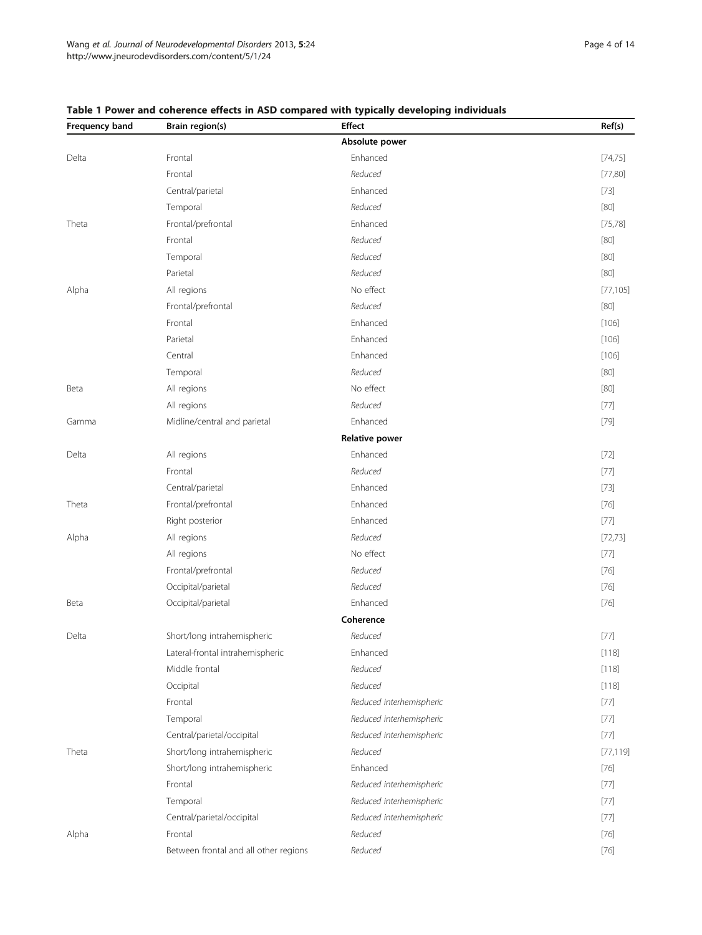| Frequency band | Brain region(s)                       | <b>Effect</b>            | Ref(s)    |
|----------------|---------------------------------------|--------------------------|-----------|
|                |                                       | Absolute power           |           |
| Delta          | Frontal                               | Enhanced                 | [74, 75]  |
|                | Frontal                               | Reduced                  | [77,80]   |
|                | Central/parietal                      | Enhanced                 | $[73]$    |
|                | Temporal                              | Reduced                  | $[80]$    |
| Theta          | Frontal/prefrontal                    | Enhanced                 | [75, 78]  |
|                | Frontal                               | Reduced                  | $[80]$    |
|                | Temporal                              | Reduced                  | $[80]$    |
|                | Parietal                              | Reduced                  | $[80]$    |
| Alpha          | All regions                           | No effect                | [77, 105] |
|                | Frontal/prefrontal                    | Reduced                  | $[80]$    |
|                | Frontal                               | Enhanced                 | [106]     |
|                | Parietal                              | Enhanced                 | [106]     |
|                | Central                               | Enhanced                 | [106]     |
|                | Temporal                              | Reduced                  | [80]      |
| Beta           | All regions                           | No effect                | $[80]$    |
|                | All regions                           | Reduced                  | $[77]$    |
| Gamma          | Midline/central and parietal          | Enhanced                 | $[79]$    |
|                |                                       | <b>Relative power</b>    |           |
| Delta          | All regions                           | Enhanced                 | $[72]$    |
|                | Frontal                               | Reduced                  | [77]      |
|                | Central/parietal                      | Enhanced                 | $[73]$    |
| Theta          | Frontal/prefrontal                    | Enhanced                 | $[76]$    |
|                | Right posterior                       | Enhanced                 | [77]      |
| Alpha          | All regions                           | Reduced                  | [72, 73]  |
|                | All regions                           | No effect                | $[77]$    |
|                | Frontal/prefrontal                    | Reduced                  | $[76]$    |
|                | Occipital/parietal                    | Reduced                  | $[76]$    |
| Beta           | Occipital/parietal                    | Enhanced                 | $[76]$    |
|                |                                       | Coherence                |           |
| Delta          | Short/long intrahemispheric           | Reduced                  | $[77]$    |
| Theta          | Lateral-frontal intrahemispheric      | Enhanced                 | [118]     |
|                | Middle frontal                        | Reduced                  | [118]     |
|                | Occipital                             | Reduced                  | [118]     |
|                | Frontal                               | Reduced interhemispheric | $[77]$    |
|                | Temporal                              | Reduced interhemispheric | $[77]$    |
|                | Central/parietal/occipital            | Reduced interhemispheric | $[77]$    |
|                | Short/long intrahemispheric           | Reduced                  | [77, 119] |
|                | Short/long intrahemispheric           | Enhanced                 | $[76]$    |
|                | Frontal                               | Reduced interhemispheric | $[77]$    |
|                | Temporal                              | Reduced interhemispheric | $[77]$    |
|                | Central/parietal/occipital            | Reduced interhemispheric | [77]      |
| Alpha          | Frontal                               | Reduced                  | $[76]$    |
|                | Between frontal and all other regions | Reduced                  | $[76]$    |

## <span id="page-3-0"></span>Table 1 Power and coherence effects in ASD compared with typically developing individuals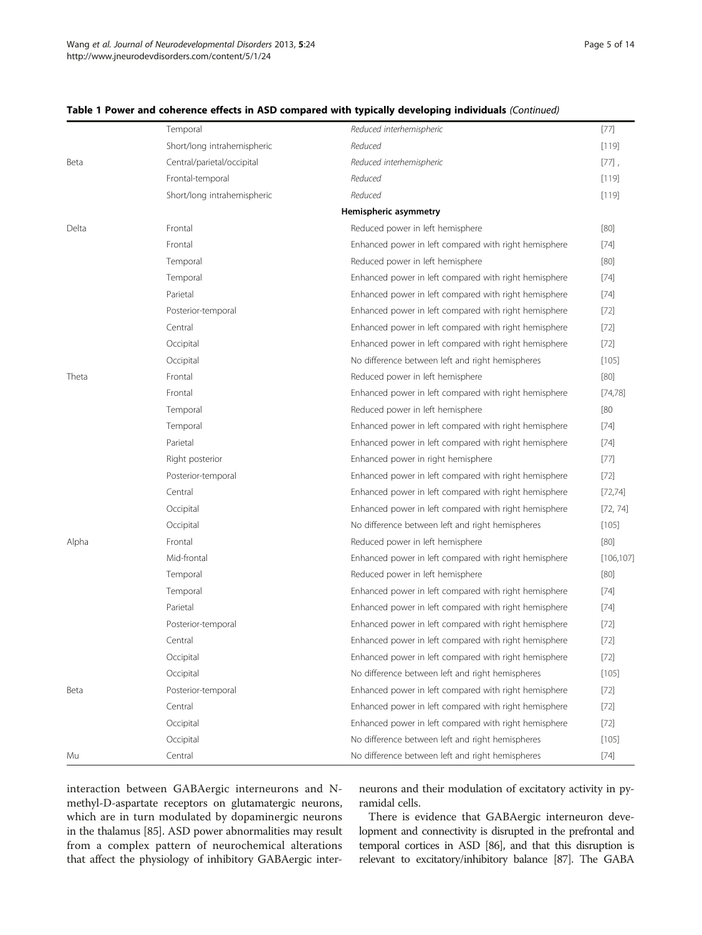|       | Temporal                    | Reduced interhemispheric                              | $[77]$     |
|-------|-----------------------------|-------------------------------------------------------|------------|
|       | Short/long intrahemispheric | Reduced                                               | [119]      |
| Beta  | Central/parietal/occipital  | Reduced interhemispheric                              | $[77]$     |
|       | Frontal-temporal            | Reduced                                               | [119]      |
|       | Short/long intrahemispheric | Reduced                                               | [119]      |
|       |                             | Hemispheric asymmetry                                 |            |
| Delta | Frontal                     | Reduced power in left hemisphere                      | [80]       |
|       | Frontal                     | Enhanced power in left compared with right hemisphere | $[74]$     |
|       | Temporal                    | Reduced power in left hemisphere                      | [80]       |
|       | Temporal                    | Enhanced power in left compared with right hemisphere | $[74]$     |
|       | Parietal                    | Enhanced power in left compared with right hemisphere | $[74]$     |
|       | Posterior-temporal          | Enhanced power in left compared with right hemisphere | $[72]$     |
|       | Central                     | Enhanced power in left compared with right hemisphere | $[72]$     |
|       | Occipital                   | Enhanced power in left compared with right hemisphere | $[72]$     |
|       | Occipital                   | No difference between left and right hemispheres      | [105]      |
| Theta | Frontal                     | Reduced power in left hemisphere                      | [80]       |
|       | Frontal                     | Enhanced power in left compared with right hemisphere | [74, 78]   |
|       | Temporal                    | Reduced power in left hemisphere                      | [80        |
|       | Temporal                    | Enhanced power in left compared with right hemisphere | $[74]$     |
|       | Parietal                    | Enhanced power in left compared with right hemisphere | $[74]$     |
|       | Right posterior             | Enhanced power in right hemisphere                    | $[77]$     |
|       | Posterior-temporal          | Enhanced power in left compared with right hemisphere | $[72]$     |
|       | Central                     | Enhanced power in left compared with right hemisphere | [72, 74]   |
|       | Occipital                   | Enhanced power in left compared with right hemisphere | [72, 74]   |
|       | Occipital                   | No difference between left and right hemispheres      | [105]      |
| Alpha | Frontal                     | Reduced power in left hemisphere                      | [80]       |
|       | Mid-frontal                 | Enhanced power in left compared with right hemisphere | [106, 107] |
|       | Temporal                    | Reduced power in left hemisphere                      | [80]       |
|       | Temporal                    | Enhanced power in left compared with right hemisphere | $[74]$     |
|       | Parietal                    | Enhanced power in left compared with right hemisphere | $[74]$     |
|       | Posterior-temporal          | Enhanced power in left compared with right hemisphere | $[72]$     |
|       | Central                     | Enhanced power in left compared with right hemisphere | $[72]$     |
|       | Occipital                   | Enhanced power in left compared with right hemisphere | $[72]$     |
|       | Occipital                   | No difference between left and right hemispheres      | [105]      |
| Beta  | Posterior-temporal          | Enhanced power in left compared with right hemisphere | $[72]$     |
|       | Central                     | Enhanced power in left compared with right hemisphere | $[72]$     |
|       | Occipital                   | Enhanced power in left compared with right hemisphere | $[72]$     |
|       | Occipital                   | No difference between left and right hemispheres      | [105]      |
| Mu    | Central                     | No difference between left and right hemispheres      | $[74]$     |

#### Table 1 Power and coherence effects in ASD compared with typically developing individuals (Continued)

interaction between GABAergic interneurons and Nmethyl-D-aspartate receptors on glutamatergic neurons, which are in turn modulated by dopaminergic neurons in the thalamus [[85\]](#page-12-0). ASD power abnormalities may result from a complex pattern of neurochemical alterations that affect the physiology of inhibitory GABAergic interneurons and their modulation of excitatory activity in pyramidal cells.

There is evidence that GABAergic interneuron development and connectivity is disrupted in the prefrontal and temporal cortices in ASD [[86\]](#page-12-0), and that this disruption is relevant to excitatory/inhibitory balance [[87\]](#page-12-0). The GABA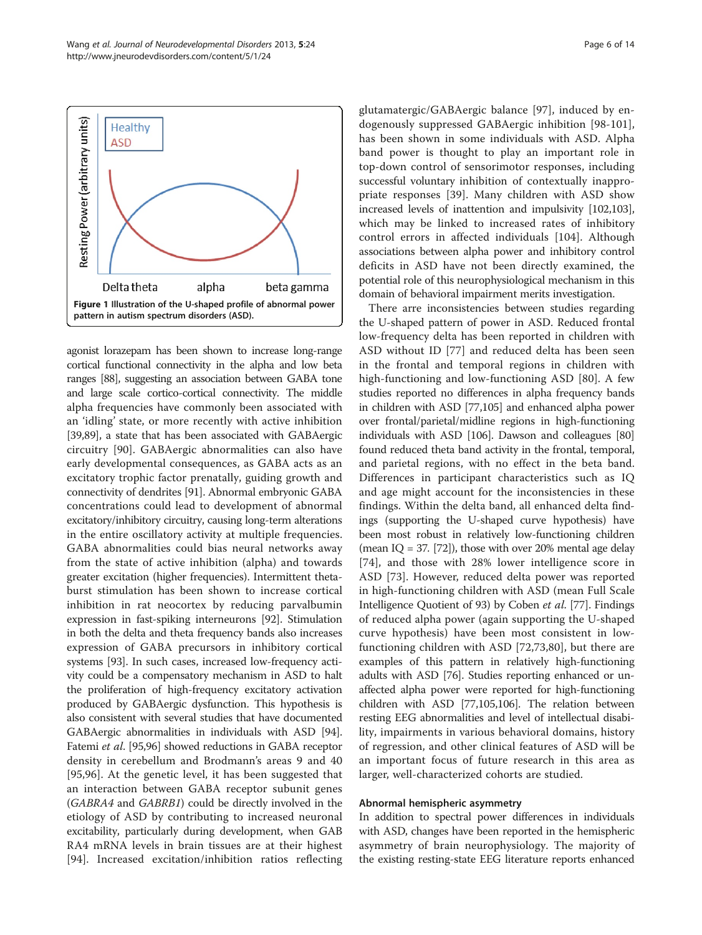agonist lorazepam has been shown to increase long-range cortical functional connectivity in the alpha and low beta ranges [\[88](#page-12-0)], suggesting an association between GABA tone and large scale cortico-cortical connectivity. The middle alpha frequencies have commonly been associated with an 'idling' state, or more recently with active inhibition [[39](#page-11-0)[,89](#page-12-0)], a state that has been associated with GABAergic circuitry [\[90](#page-12-0)]. GABAergic abnormalities can also have early developmental consequences, as GABA acts as an excitatory trophic factor prenatally, guiding growth and connectivity of dendrites [[91](#page-12-0)]. Abnormal embryonic GABA concentrations could lead to development of abnormal excitatory/inhibitory circuitry, causing long-term alterations in the entire oscillatory activity at multiple frequencies. GABA abnormalities could bias neural networks away from the state of active inhibition (alpha) and towards greater excitation (higher frequencies). Intermittent thetaburst stimulation has been shown to increase cortical inhibition in rat neocortex by reducing parvalbumin expression in fast-spiking interneurons [[92](#page-12-0)]. Stimulation in both the delta and theta frequency bands also increases expression of GABA precursors in inhibitory cortical systems [\[93\]](#page-12-0). In such cases, increased low-frequency activity could be a compensatory mechanism in ASD to halt the proliferation of high-frequency excitatory activation produced by GABAergic dysfunction. This hypothesis is also consistent with several studies that have documented GABAergic abnormalities in individuals with ASD [[94](#page-12-0)]. Fatemi et al. [\[95,96](#page-12-0)] showed reductions in GABA receptor density in cerebellum and Brodmann's areas 9 and 40 [[95,96](#page-12-0)]. At the genetic level, it has been suggested that an interaction between GABA receptor subunit genes (GABRA4 and GABRB1) could be directly involved in the etiology of ASD by contributing to increased neuronal excitability, particularly during development, when GAB RA4 mRNA levels in brain tissues are at their highest [[94\]](#page-12-0). Increased excitation/inhibition ratios reflecting

glutamatergic/GABAergic balance [\[97](#page-12-0)], induced by endogenously suppressed GABAergic inhibition [\[98-101](#page-12-0)], has been shown in some individuals with ASD. Alpha band power is thought to play an important role in top-down control of sensorimotor responses, including successful voluntary inhibition of contextually inappropriate responses [[39](#page-11-0)]. Many children with ASD show increased levels of inattention and impulsivity [\[102,103](#page-12-0)], which may be linked to increased rates of inhibitory control errors in affected individuals [[104](#page-12-0)]. Although associations between alpha power and inhibitory control deficits in ASD have not been directly examined, the potential role of this neurophysiological mechanism in this domain of behavioral impairment merits investigation.

There arre inconsistencies between studies regarding the U-shaped pattern of power in ASD. Reduced frontal low-frequency delta has been reported in children with ASD without ID [[77\]](#page-12-0) and reduced delta has been seen in the frontal and temporal regions in children with high-functioning and low-functioning ASD [[80](#page-12-0)]. A few studies reported no differences in alpha frequency bands in children with ASD [[77,105\]](#page-12-0) and enhanced alpha power over frontal/parietal/midline regions in high-functioning individuals with ASD [\[106\]](#page-12-0). Dawson and colleagues [[80](#page-12-0)] found reduced theta band activity in the frontal, temporal, and parietal regions, with no effect in the beta band. Differences in participant characteristics such as IQ and age might account for the inconsistencies in these findings. Within the delta band, all enhanced delta findings (supporting the U-shaped curve hypothesis) have been most robust in relatively low-functioning children (mean IQ = 37. [[72](#page-11-0)]), those with over 20% mental age delay [[74](#page-11-0)], and those with 28% lower intelligence score in ASD [\[73](#page-11-0)]. However, reduced delta power was reported in high-functioning children with ASD (mean Full Scale Intelligence Quotient of 93) by Coben et al. [[77](#page-12-0)]. Findings of reduced alpha power (again supporting the U-shaped curve hypothesis) have been most consistent in lowfunctioning children with ASD [[72,73](#page-11-0)[,80](#page-12-0)], but there are examples of this pattern in relatively high-functioning adults with ASD [\[76\]](#page-11-0). Studies reporting enhanced or unaffected alpha power were reported for high-functioning children with ASD [\[77,105,106\]](#page-12-0). The relation between resting EEG abnormalities and level of intellectual disability, impairments in various behavioral domains, history of regression, and other clinical features of ASD will be an important focus of future research in this area as larger, well-characterized cohorts are studied.

#### Abnormal hemispheric asymmetry

In addition to spectral power differences in individuals with ASD, changes have been reported in the hemispheric asymmetry of brain neurophysiology. The majority of the existing resting-state EEG literature reports enhanced

<span id="page-5-0"></span>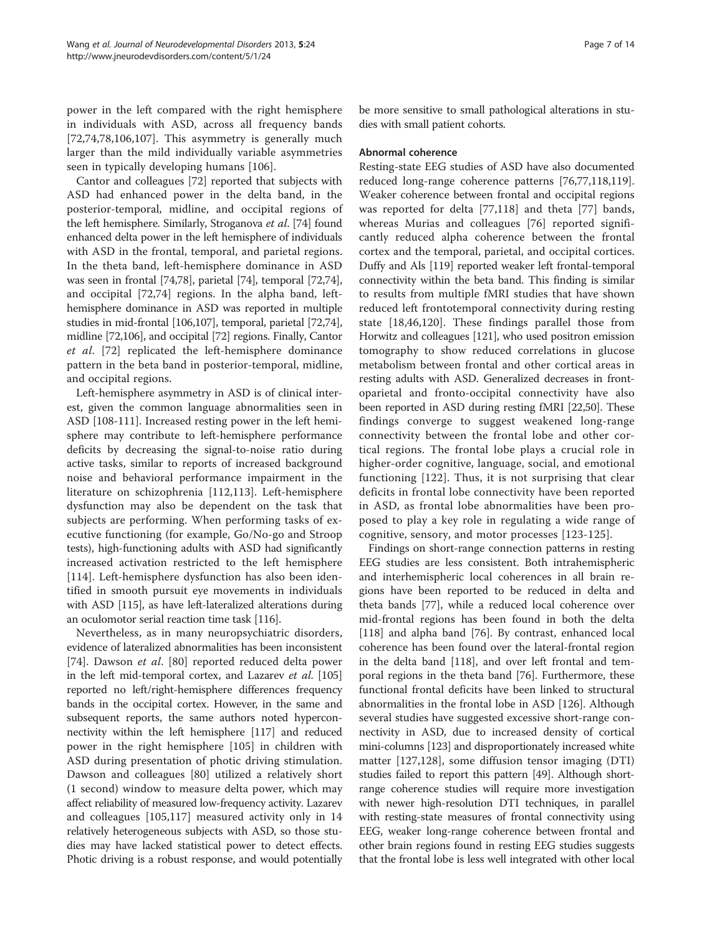power in the left compared with the right hemisphere in individuals with ASD, across all frequency bands [[72,74](#page-11-0)[,78,106,107](#page-12-0)]. This asymmetry is generally much larger than the mild individually variable asymmetries seen in typically developing humans [[106\]](#page-12-0).

Cantor and colleagues [[72\]](#page-11-0) reported that subjects with ASD had enhanced power in the delta band, in the posterior-temporal, midline, and occipital regions of the left hemisphere. Similarly, Stroganova et al. [\[74](#page-11-0)] found enhanced delta power in the left hemisphere of individuals with ASD in the frontal, temporal, and parietal regions. In the theta band, left-hemisphere dominance in ASD was seen in frontal [[74](#page-11-0),[78](#page-12-0)], parietal [\[74\]](#page-11-0), temporal [\[72,74](#page-11-0)], and occipital [[72,74](#page-11-0)] regions. In the alpha band, lefthemisphere dominance in ASD was reported in multiple studies in mid-frontal [\[106,107\]](#page-12-0), temporal, parietal [\[72,74](#page-11-0)], midline [[72](#page-11-0)[,106\]](#page-12-0), and occipital [[72](#page-11-0)] regions. Finally, Cantor et al. [\[72](#page-11-0)] replicated the left-hemisphere dominance pattern in the beta band in posterior-temporal, midline, and occipital regions.

Left-hemisphere asymmetry in ASD is of clinical interest, given the common language abnormalities seen in ASD [[108-111\]](#page-12-0). Increased resting power in the left hemisphere may contribute to left-hemisphere performance deficits by decreasing the signal-to-noise ratio during active tasks, similar to reports of increased background noise and behavioral performance impairment in the literature on schizophrenia [\[112](#page-12-0),[113\]](#page-12-0). Left-hemisphere dysfunction may also be dependent on the task that subjects are performing. When performing tasks of executive functioning (for example, Go/No-go and Stroop tests), high-functioning adults with ASD had significantly increased activation restricted to the left hemisphere [[114\]](#page-12-0). Left-hemisphere dysfunction has also been identified in smooth pursuit eye movements in individuals with ASD [\[115\]](#page-12-0), as have left-lateralized alterations during an oculomotor serial reaction time task [\[116](#page-12-0)].

Nevertheless, as in many neuropsychiatric disorders, evidence of lateralized abnormalities has been inconsistent [[74\]](#page-11-0). Dawson et al. [\[80](#page-12-0)] reported reduced delta power in the left mid-temporal cortex, and Lazarev et al. [\[105](#page-12-0)] reported no left/right-hemisphere differences frequency bands in the occipital cortex. However, in the same and subsequent reports, the same authors noted hyperconnectivity within the left hemisphere [\[117](#page-12-0)] and reduced power in the right hemisphere [[105\]](#page-12-0) in children with ASD during presentation of photic driving stimulation. Dawson and colleagues [[80\]](#page-12-0) utilized a relatively short (1 second) window to measure delta power, which may affect reliability of measured low-frequency activity. Lazarev and colleagues [[105,117\]](#page-12-0) measured activity only in 14 relatively heterogeneous subjects with ASD, so those studies may have lacked statistical power to detect effects. Photic driving is a robust response, and would potentially

be more sensitive to small pathological alterations in studies with small patient cohorts.

#### Abnormal coherence

Resting-state EEG studies of ASD have also documented reduced long-range coherence patterns [[76,](#page-11-0)[77,118](#page-12-0),[119](#page-12-0)]. Weaker coherence between frontal and occipital regions was reported for delta [[77,118](#page-12-0)] and theta [[77\]](#page-12-0) bands, whereas Murias and colleagues [\[76](#page-11-0)] reported significantly reduced alpha coherence between the frontal cortex and the temporal, parietal, and occipital cortices. Duffy and Als [\[119\]](#page-12-0) reported weaker left frontal-temporal connectivity within the beta band. This finding is similar to results from multiple fMRI studies that have shown reduced left frontotemporal connectivity during resting state [\[18](#page-10-0)[,46,](#page-11-0)[120\]](#page-12-0). These findings parallel those from Horwitz and colleagues [\[121\]](#page-12-0), who used positron emission tomography to show reduced correlations in glucose metabolism between frontal and other cortical areas in resting adults with ASD. Generalized decreases in frontoparietal and fronto-occipital connectivity have also been reported in ASD during resting fMRI [[22,](#page-10-0)[50](#page-11-0)]. These findings converge to suggest weakened long-range connectivity between the frontal lobe and other cortical regions. The frontal lobe plays a crucial role in higher-order cognitive, language, social, and emotional functioning [[122](#page-12-0)]. Thus, it is not surprising that clear deficits in frontal lobe connectivity have been reported in ASD, as frontal lobe abnormalities have been proposed to play a key role in regulating a wide range of cognitive, sensory, and motor processes [[123](#page-12-0)-[125](#page-13-0)].

Findings on short-range connection patterns in resting EEG studies are less consistent. Both intrahemispheric and interhemispheric local coherences in all brain regions have been reported to be reduced in delta and theta bands [[77\]](#page-12-0), while a reduced local coherence over mid-frontal regions has been found in both the delta [[118\]](#page-12-0) and alpha band [[76\]](#page-11-0). By contrast, enhanced local coherence has been found over the lateral-frontal region in the delta band [[118](#page-12-0)], and over left frontal and temporal regions in the theta band [\[76\]](#page-11-0). Furthermore, these functional frontal deficits have been linked to structural abnormalities in the frontal lobe in ASD [[126\]](#page-13-0). Although several studies have suggested excessive short-range connectivity in ASD, due to increased density of cortical mini-columns [[123\]](#page-12-0) and disproportionately increased white matter [[127,128\]](#page-13-0), some diffusion tensor imaging (DTI) studies failed to report this pattern [[49](#page-11-0)]. Although shortrange coherence studies will require more investigation with newer high-resolution DTI techniques, in parallel with resting-state measures of frontal connectivity using EEG, weaker long-range coherence between frontal and other brain regions found in resting EEG studies suggests that the frontal lobe is less well integrated with other local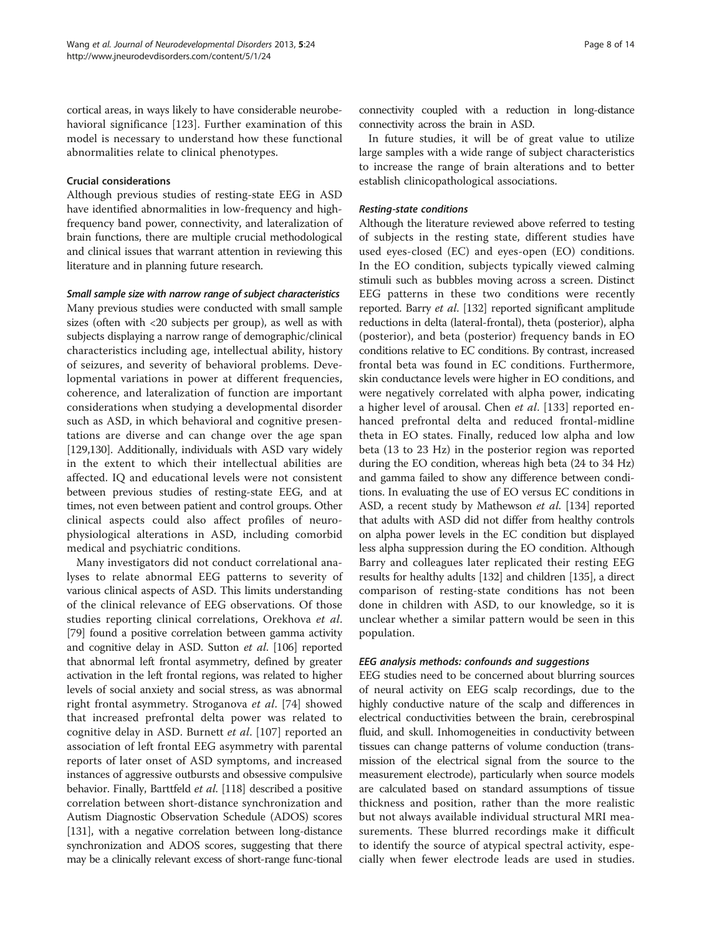cortical areas, in ways likely to have considerable neurobehavioral significance [\[123](#page-12-0)]. Further examination of this model is necessary to understand how these functional abnormalities relate to clinical phenotypes.

#### Crucial considerations

Although previous studies of resting-state EEG in ASD have identified abnormalities in low-frequency and highfrequency band power, connectivity, and lateralization of brain functions, there are multiple crucial methodological and clinical issues that warrant attention in reviewing this literature and in planning future research.

## Small sample size with narrow range of subject characteristics

Many previous studies were conducted with small sample sizes (often with <20 subjects per group), as well as with subjects displaying a narrow range of demographic/clinical characteristics including age, intellectual ability, history of seizures, and severity of behavioral problems. Developmental variations in power at different frequencies, coherence, and lateralization of function are important considerations when studying a developmental disorder such as ASD, in which behavioral and cognitive presentations are diverse and can change over the age span [[129,130\]](#page-13-0). Additionally, individuals with ASD vary widely in the extent to which their intellectual abilities are affected. IQ and educational levels were not consistent between previous studies of resting-state EEG, and at times, not even between patient and control groups. Other clinical aspects could also affect profiles of neurophysiological alterations in ASD, including comorbid medical and psychiatric conditions.

Many investigators did not conduct correlational analyses to relate abnormal EEG patterns to severity of various clinical aspects of ASD. This limits understanding of the clinical relevance of EEG observations. Of those studies reporting clinical correlations, Orekhova et al. [[79](#page-12-0)] found a positive correlation between gamma activity and cognitive delay in ASD. Sutton et al. [\[106](#page-12-0)] reported that abnormal left frontal asymmetry, defined by greater activation in the left frontal regions, was related to higher levels of social anxiety and social stress, as was abnormal right frontal asymmetry. Stroganova et al. [\[74](#page-11-0)] showed that increased prefrontal delta power was related to cognitive delay in ASD. Burnett et al. [\[107\]](#page-12-0) reported an association of left frontal EEG asymmetry with parental reports of later onset of ASD symptoms, and increased instances of aggressive outbursts and obsessive compulsive behavior. Finally, Barttfeld et al. [\[118\]](#page-12-0) described a positive correlation between short-distance synchronization and Autism Diagnostic Observation Schedule (ADOS) scores [[131](#page-13-0)], with a negative correlation between long-distance synchronization and ADOS scores, suggesting that there may be a clinically relevant excess of short-range func-tional

connectivity coupled with a reduction in long-distance connectivity across the brain in ASD.

In future studies, it will be of great value to utilize large samples with a wide range of subject characteristics to increase the range of brain alterations and to better establish clinicopathological associations.

## Resting-state conditions

Although the literature reviewed above referred to testing of subjects in the resting state, different studies have used eyes-closed (EC) and eyes-open (EO) conditions. In the EO condition, subjects typically viewed calming stimuli such as bubbles moving across a screen. Distinct EEG patterns in these two conditions were recently reported. Barry et al. [\[132](#page-13-0)] reported significant amplitude reductions in delta (lateral-frontal), theta (posterior), alpha (posterior), and beta (posterior) frequency bands in EO conditions relative to EC conditions. By contrast, increased frontal beta was found in EC conditions. Furthermore, skin conductance levels were higher in EO conditions, and were negatively correlated with alpha power, indicating a higher level of arousal. Chen *et al.* [[133\]](#page-13-0) reported enhanced prefrontal delta and reduced frontal-midline theta in EO states. Finally, reduced low alpha and low beta (13 to 23 Hz) in the posterior region was reported during the EO condition, whereas high beta (24 to 34 Hz) and gamma failed to show any difference between conditions. In evaluating the use of EO versus EC conditions in ASD, a recent study by Mathewson et al. [\[134](#page-13-0)] reported that adults with ASD did not differ from healthy controls on alpha power levels in the EC condition but displayed less alpha suppression during the EO condition. Although Barry and colleagues later replicated their resting EEG results for healthy adults [\[132\]](#page-13-0) and children [\[135](#page-13-0)], a direct comparison of resting-state conditions has not been done in children with ASD, to our knowledge, so it is unclear whether a similar pattern would be seen in this population.

## EEG analysis methods: confounds and suggestions

EEG studies need to be concerned about blurring sources of neural activity on EEG scalp recordings, due to the highly conductive nature of the scalp and differences in electrical conductivities between the brain, cerebrospinal fluid, and skull. Inhomogeneities in conductivity between tissues can change patterns of volume conduction (transmission of the electrical signal from the source to the measurement electrode), particularly when source models are calculated based on standard assumptions of tissue thickness and position, rather than the more realistic but not always available individual structural MRI measurements. These blurred recordings make it difficult to identify the source of atypical spectral activity, especially when fewer electrode leads are used in studies.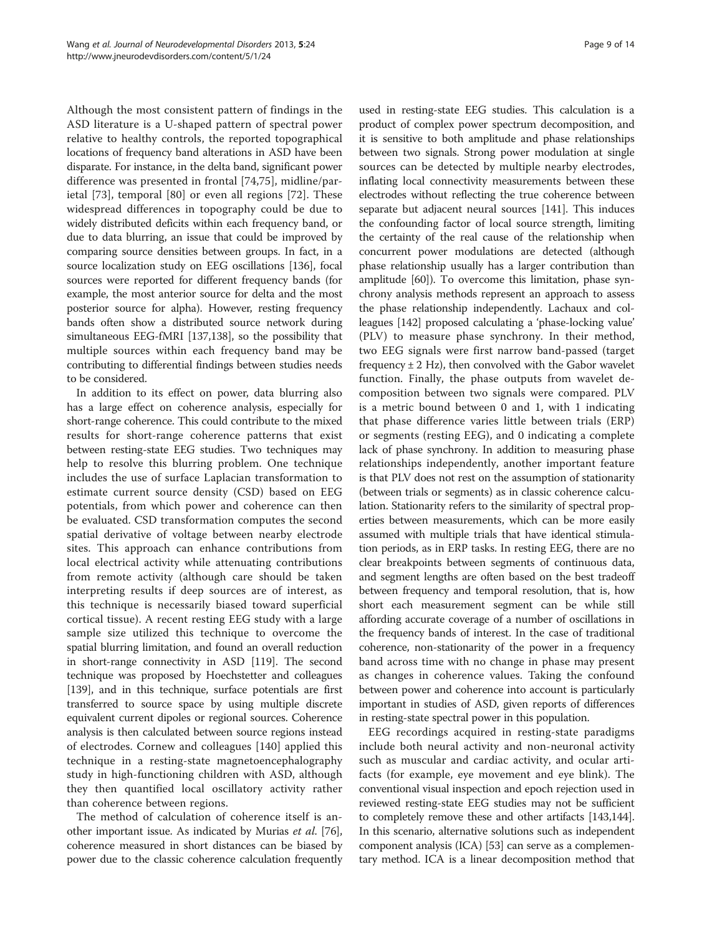Although the most consistent pattern of findings in the ASD literature is a U-shaped pattern of spectral power relative to healthy controls, the reported topographical locations of frequency band alterations in ASD have been disparate. For instance, in the delta band, significant power difference was presented in frontal [[74,75\]](#page-11-0), midline/parietal [[73](#page-11-0)], temporal [\[80](#page-12-0)] or even all regions [[72\]](#page-11-0). These widespread differences in topography could be due to widely distributed deficits within each frequency band, or due to data blurring, an issue that could be improved by comparing source densities between groups. In fact, in a source localization study on EEG oscillations [\[136\]](#page-13-0), focal sources were reported for different frequency bands (for example, the most anterior source for delta and the most posterior source for alpha). However, resting frequency bands often show a distributed source network during simultaneous EEG-fMRI [[137,138](#page-13-0)], so the possibility that multiple sources within each frequency band may be contributing to differential findings between studies needs to be considered.

In addition to its effect on power, data blurring also has a large effect on coherence analysis, especially for short-range coherence. This could contribute to the mixed results for short-range coherence patterns that exist between resting-state EEG studies. Two techniques may help to resolve this blurring problem. One technique includes the use of surface Laplacian transformation to estimate current source density (CSD) based on EEG potentials, from which power and coherence can then be evaluated. CSD transformation computes the second spatial derivative of voltage between nearby electrode sites. This approach can enhance contributions from local electrical activity while attenuating contributions from remote activity (although care should be taken interpreting results if deep sources are of interest, as this technique is necessarily biased toward superficial cortical tissue). A recent resting EEG study with a large sample size utilized this technique to overcome the spatial blurring limitation, and found an overall reduction in short-range connectivity in ASD [\[119\]](#page-12-0). The second technique was proposed by Hoechstetter and colleagues [[139](#page-13-0)], and in this technique, surface potentials are first transferred to source space by using multiple discrete equivalent current dipoles or regional sources. Coherence analysis is then calculated between source regions instead of electrodes. Cornew and colleagues [[140](#page-13-0)] applied this technique in a resting-state magnetoencephalography study in high-functioning children with ASD, although they then quantified local oscillatory activity rather than coherence between regions.

The method of calculation of coherence itself is another important issue. As indicated by Murias et al. [[76](#page-11-0)], coherence measured in short distances can be biased by power due to the classic coherence calculation frequently

used in resting-state EEG studies. This calculation is a product of complex power spectrum decomposition, and it is sensitive to both amplitude and phase relationships between two signals. Strong power modulation at single sources can be detected by multiple nearby electrodes, inflating local connectivity measurements between these electrodes without reflecting the true coherence between separate but adjacent neural sources [[141](#page-13-0)]. This induces the confounding factor of local source strength, limiting the certainty of the real cause of the relationship when concurrent power modulations are detected (although phase relationship usually has a larger contribution than amplitude [[60](#page-11-0)]). To overcome this limitation, phase synchrony analysis methods represent an approach to assess the phase relationship independently. Lachaux and colleagues [\[142\]](#page-13-0) proposed calculating a 'phase-locking value' (PLV) to measure phase synchrony. In their method, two EEG signals were first narrow band-passed (target frequency  $\pm$  2 Hz), then convolved with the Gabor wavelet function. Finally, the phase outputs from wavelet decomposition between two signals were compared. PLV is a metric bound between 0 and 1, with 1 indicating that phase difference varies little between trials (ERP) or segments (resting EEG), and 0 indicating a complete lack of phase synchrony. In addition to measuring phase relationships independently, another important feature is that PLV does not rest on the assumption of stationarity (between trials or segments) as in classic coherence calculation. Stationarity refers to the similarity of spectral properties between measurements, which can be more easily assumed with multiple trials that have identical stimulation periods, as in ERP tasks. In resting EEG, there are no clear breakpoints between segments of continuous data, and segment lengths are often based on the best tradeoff between frequency and temporal resolution, that is, how short each measurement segment can be while still affording accurate coverage of a number of oscillations in the frequency bands of interest. In the case of traditional coherence, non-stationarity of the power in a frequency band across time with no change in phase may present as changes in coherence values. Taking the confound between power and coherence into account is particularly important in studies of ASD, given reports of differences in resting-state spectral power in this population.

EEG recordings acquired in resting-state paradigms include both neural activity and non-neuronal activity such as muscular and cardiac activity, and ocular artifacts (for example, eye movement and eye blink). The conventional visual inspection and epoch rejection used in reviewed resting-state EEG studies may not be sufficient to completely remove these and other artifacts [\[143,144](#page-13-0)]. In this scenario, alternative solutions such as independent component analysis (ICA) [[53\]](#page-11-0) can serve as a complementary method. ICA is a linear decomposition method that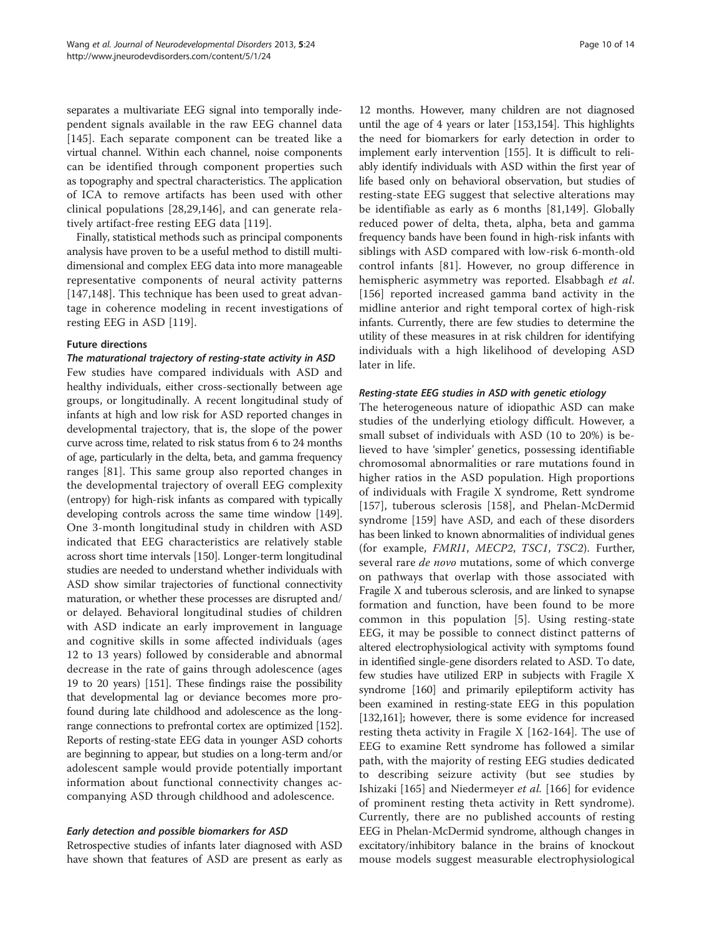separates a multivariate EEG signal into temporally independent signals available in the raw EEG channel data [[145\]](#page-13-0). Each separate component can be treated like a virtual channel. Within each channel, noise components can be identified through component properties such as topography and spectral characteristics. The application of ICA to remove artifacts has been used with other clinical populations [\[28,29](#page-11-0),[146\]](#page-13-0), and can generate relatively artifact-free resting EEG data [[119](#page-12-0)].

Finally, statistical methods such as principal components analysis have proven to be a useful method to distill multidimensional and complex EEG data into more manageable representative components of neural activity patterns [[147,148](#page-13-0)]. This technique has been used to great advantage in coherence modeling in recent investigations of resting EEG in ASD [\[119](#page-12-0)].

#### Future directions

#### The maturational trajectory of resting-state activity in ASD

Few studies have compared individuals with ASD and healthy individuals, either cross-sectionally between age groups, or longitudinally. A recent longitudinal study of infants at high and low risk for ASD reported changes in developmental trajectory, that is, the slope of the power curve across time, related to risk status from 6 to 24 months of age, particularly in the delta, beta, and gamma frequency ranges [[81\]](#page-12-0). This same group also reported changes in the developmental trajectory of overall EEG complexity (entropy) for high-risk infants as compared with typically developing controls across the same time window [[149](#page-13-0)]. One 3-month longitudinal study in children with ASD indicated that EEG characteristics are relatively stable across short time intervals [\[150\]](#page-13-0). Longer-term longitudinal studies are needed to understand whether individuals with ASD show similar trajectories of functional connectivity maturation, or whether these processes are disrupted and/ or delayed. Behavioral longitudinal studies of children with ASD indicate an early improvement in language and cognitive skills in some affected individuals (ages 12 to 13 years) followed by considerable and abnormal decrease in the rate of gains through adolescence (ages 19 to 20 years) [\[151](#page-13-0)]. These findings raise the possibility that developmental lag or deviance becomes more profound during late childhood and adolescence as the longrange connections to prefrontal cortex are optimized [\[152](#page-13-0)]. Reports of resting-state EEG data in younger ASD cohorts are beginning to appear, but studies on a long-term and/or adolescent sample would provide potentially important information about functional connectivity changes accompanying ASD through childhood and adolescence.

## Early detection and possible biomarkers for ASD

Retrospective studies of infants later diagnosed with ASD have shown that features of ASD are present as early as

12 months. However, many children are not diagnosed until the age of 4 years or later [[153,154\]](#page-13-0). This highlights the need for biomarkers for early detection in order to implement early intervention [\[155\]](#page-13-0). It is difficult to reliably identify individuals with ASD within the first year of life based only on behavioral observation, but studies of resting-state EEG suggest that selective alterations may be identifiable as early as 6 months [[81](#page-12-0)[,149](#page-13-0)]. Globally reduced power of delta, theta, alpha, beta and gamma frequency bands have been found in high-risk infants with siblings with ASD compared with low-risk 6-month-old control infants [[81](#page-12-0)]. However, no group difference in hemispheric asymmetry was reported. Elsabbagh et al. [[156](#page-13-0)] reported increased gamma band activity in the midline anterior and right temporal cortex of high-risk infants. Currently, there are few studies to determine the utility of these measures in at risk children for identifying individuals with a high likelihood of developing ASD later in life.

## Resting-state EEG studies in ASD with genetic etiology

The heterogeneous nature of idiopathic ASD can make studies of the underlying etiology difficult. However, a small subset of individuals with ASD (10 to 20%) is believed to have 'simpler' genetics, possessing identifiable chromosomal abnormalities or rare mutations found in higher ratios in the ASD population. High proportions of individuals with Fragile X syndrome, Rett syndrome [[157](#page-13-0)], tuberous sclerosis [[158\]](#page-13-0), and Phelan-McDermid syndrome [[159\]](#page-13-0) have ASD, and each of these disorders has been linked to known abnormalities of individual genes (for example, FMRI1, MECP2, TSC1, TSC2). Further, several rare *de novo* mutations, some of which converge on pathways that overlap with those associated with Fragile X and tuberous sclerosis, and are linked to synapse formation and function, have been found to be more common in this population [[5\]](#page-10-0). Using resting-state EEG, it may be possible to connect distinct patterns of altered electrophysiological activity with symptoms found in identified single-gene disorders related to ASD. To date, few studies have utilized ERP in subjects with Fragile X syndrome [[160](#page-13-0)] and primarily epileptiform activity has been examined in resting-state EEG in this population [[132,161\]](#page-13-0); however, there is some evidence for increased resting theta activity in Fragile X [[162-164\]](#page-13-0). The use of EEG to examine Rett syndrome has followed a similar path, with the majority of resting EEG studies dedicated to describing seizure activity (but see studies by Ishizaki [[165\]](#page-13-0) and Niedermeyer et al. [\[166](#page-13-0)] for evidence of prominent resting theta activity in Rett syndrome). Currently, there are no published accounts of resting EEG in Phelan-McDermid syndrome, although changes in excitatory/inhibitory balance in the brains of knockout mouse models suggest measurable electrophysiological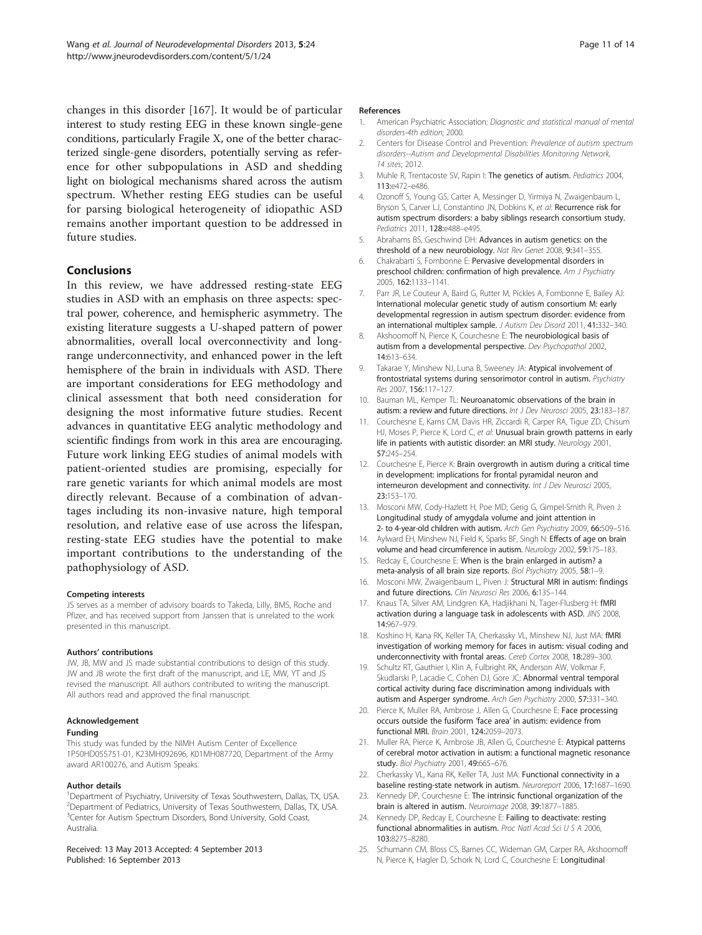<span id="page-10-0"></span>changes in this disorder [[167\]](#page-13-0). It would be of particular interest to study resting EEG in these known single-gene conditions, particularly Fragile X, one of the better characterized single-gene disorders, potentially serving as reference for other subpopulations in ASD and shedding light on biological mechanisms shared across the autism spectrum. Whether resting EEG studies can be useful for parsing biological heterogeneity of idiopathic ASD remains another important question to be addressed in future studies.

#### Conclusions

In this review, we have addressed resting-state EEG studies in ASD with an emphasis on three aspects: spectral power, coherence, and hemispheric asymmetry. The existing literature suggests a U-shaped pattern of power abnormalities, overall local overconnectivity and longrange underconnectivity, and enhanced power in the left hemisphere of the brain in individuals with ASD. There are important considerations for EEG methodology and clinical assessment that both need consideration for designing the most informative future studies. Recent advances in quantitative EEG analytic methodology and scientific findings from work in this area are encouraging. Future work linking EEG studies of animal models with patient-oriented studies are promising, especially for rare genetic variants for which animal models are most directly relevant. Because of a combination of advantages including its non-invasive nature, high temporal resolution, and relative ease of use across the lifespan, resting-state EEG studies have the potential to make important contributions to the understanding of the pathophysiology of ASD.

#### Competing interests

JS serves as a member of advisory boards to Takeda, Lilly, BMS, Roche and Pfizer, and has received support from Janssen that is unrelated to the work presented in this manuscript.

#### Authors' contributions

JW, JB, MW and JS made substantial contributions to design of this study. JW and JB wrote the first draft of the manuscript, and LE, MW, YT and JS revised the manuscript. All authors contributed to writing the manuscript. All authors read and approved the final manuscript.

#### Acknowledgement

#### Funding

This study was funded by the NIMH Autism Center of Excellence 1P50HD055751-01, K23MH092696, K01MH087720, Department of the Army award AR100276, and Autism Speaks.

#### Author details

<sup>1</sup>Department of Psychiatry, University of Texas Southwestern, Dallas, TX, USA. 2 Department of Pediatrics, University of Texas Southwestern, Dallas, TX, USA. <sup>3</sup>Center for Autism Spectrum Disorders, Bond University, Gold Coast, Australia.

#### Received: 13 May 2013 Accepted: 4 September 2013 Published: 16 September 2013

#### References

- 1. American Psychiatric Association: Diagnostic and statistical manual of mental disorders-4th edition; 2000.
- 2. Centers for Disease Control and Prevention: Prevalence of autism spectrum disorders--Autism and Developmental Disabilities Monitoring Network, 14 sites; 2012.
- 3. Muhle R, Trentacoste SV, Rapin I: The genetics of autism. Pediatrics 2004, 113:e472–e486.
- 4. Ozonoff S, Young GS, Carter A, Messinger D, Yirmiya N, Zwaigenbaum L, Bryson S, Carver LJ, Constantino JN, Dobkins K, et al: Recurrence risk for autism spectrum disorders: a baby siblings research consortium study. Pediatrics 2011, 128:e488-e495.
- 5. Abrahams BS, Geschwind DH: Advances in autism genetics: on the threshold of a new neurobiology. Nat Rev Genet 2008, 9:341–355.
- 6. Chakrabarti S, Fombonne E: Pervasive developmental disorders in preschool children: confirmation of high prevalence. Am J Psychiatry 2005, 162:1133–1141.
- 7. Parr JR, Le Couteur A, Baird G, Rutter M, Pickles A, Fombonne E, Bailey AJ: International molecular genetic study of autism consortium M: early developmental regression in autism spectrum disorder: evidence from an international multiplex sample. J Autism Dev Disord 2011, 41:332–340.
- 8. Akshoomoff N, Pierce K, Courchesne E: The neurobiological basis of autism from a developmental perspective. Dev Psychopathol 2002, 14:613–634.
- 9. Takarae Y, Minshew NJ, Luna B, Sweeney JA: Atypical involvement of frontostriatal systems during sensorimotor control in autism. Psychiatry Res 2007, 156:117–127.
- 10. Bauman ML, Kemper TL: Neuroanatomic observations of the brain in autism: a review and future directions. Int J Dev Neurosci 2005, 23:183-187.
- 11. Courchesne E, Karns CM, Davis HR, Ziccardi R, Carper RA, Tigue ZD, Chisum HJ, Moses P, Pierce K, Lord C, et al: Unusual brain growth patterns in early life in patients with autistic disorder: an MRI study. Neurology 2001, 57:245–254.
- 12. Courchesne E, Pierce K: Brain overgrowth in autism during a critical time in development: implications for frontal pyramidal neuron and interneuron development and connectivity. Int J Dev Neurosci 2005, 23:153–170.
- 13. Mosconi MW, Cody-Hazlett H, Poe MD, Gerig G, Gimpel-Smith R, Piven J: Longitudinal study of amygdala volume and joint attention in 2- to 4-year-old children with autism. Arch Gen Psychiatry 2009, 66:509–516.
- 14. Aylward EH, Minshew NJ, Field K, Sparks BF, Singh N: Effects of age on brain volume and head circumference in autism. Neurology 2002, 59:175–183.
- 15. Redcay E, Courchesne E: When is the brain enlarged in autism? a meta-analysis of all brain size reports. Biol Psychiatry 2005, 58:1-9.
- 16. Mosconi MW, Zwaigenbaum L, Piven J: Structural MRI in autism: findings and future directions. Clin Neurosci Res 2006, 6:135–144.
- 17. Knaus TA, Silver AM, Lindgren KA, Hadjikhani N, Tager-Flusberg H: fMRI activation during a language task in adolescents with ASD. JINS 2008, 14:967–979.
- 18. Koshino H, Kana RK, Keller TA, Cherkassky VL, Minshew NJ, Just MA: fMRI investigation of working memory for faces in autism: visual coding and underconnectivity with frontal areas. Cereb Cortex 2008, 18:289–300.
- 19. Schultz RT, Gauthier I, Klin A, Fulbright RK, Anderson AW, Volkmar F, Skudlarski P, Lacadie C, Cohen DJ, Gore JC: Abnormal ventral temporal cortical activity during face discrimination among individuals with autism and Asperger syndrome. Arch Gen Psychiatry 2000, 57:331–340.
- 20. Pierce K, Muller RA, Ambrose J, Allen G, Courchesne E: Face processing occurs outside the fusiform 'face area' in autism: evidence from functional MRI. Brain 2001, 124:2059–2073.
- 21. Muller RA, Pierce K, Ambrose JB, Allen G, Courchesne E: Atypical patterns of cerebral motor activation in autism: a functional magnetic resonance study. Biol Psychiatry 2001, 49:665-676.
- 22. Cherkassky VL, Kana RK, Keller TA, Just MA: Functional connectivity in a baseline resting-state network in autism. Neuroreport 2006, 17:1687–1690.
- 23. Kennedy DP, Courchesne E: The intrinsic functional organization of the brain is altered in autism. Neuroimage 2008, 39:1877–1885.
- 24. Kennedy DP, Redcay E, Courchesne E: Failing to deactivate: resting functional abnormalities in autism. Proc Natl Acad Sci U S A 2006, 103:8275–8280.
- 25. Schumann CM, Bloss CS, Barnes CC, Wideman GM, Carper RA, Akshoomoff N, Pierce K, Hagler D, Schork N, Lord C, Courchesne E: Longitudinal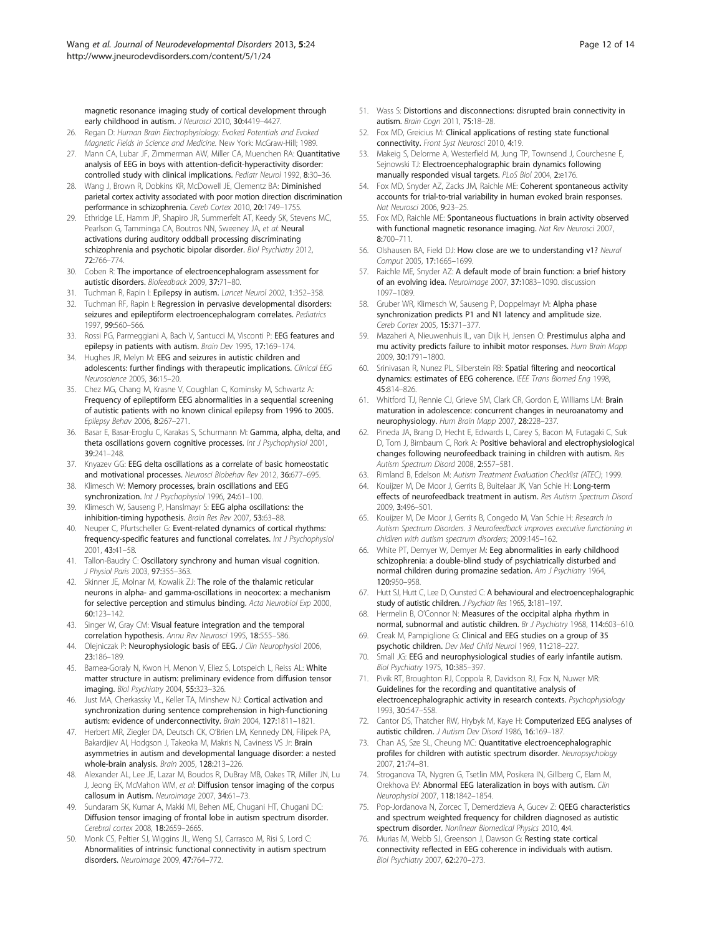<span id="page-11-0"></span>magnetic resonance imaging study of cortical development through early childhood in autism. J Neurosci 2010, 30:4419-4427.

- 26. Regan D: Human Brain Electrophysiology: Evoked Potentials and Evoked Magnetic Fields in Science and Medicine. New York: McGraw-Hill; 1989.
- 27. Mann CA, Lubar JF, Zimmerman AW, Miller CA, Muenchen RA: Quantitative analysis of EEG in boys with attention-deficit-hyperactivity disorder: controlled study with clinical implications. Pediatr Neurol 1992, 8:30-36.
- 28. Wang J, Brown R, Dobkins KR, McDowell JE, Clementz BA: Diminished parietal cortex activity associated with poor motion direction discrimination performance in schizophrenia. Cereb Cortex 2010, 20:1749–1755.
- 29. Ethridge LE, Hamm JP, Shapiro JR, Summerfelt AT, Keedy SK, Stevens MC, Pearlson G, Tamminga CA, Boutros NN, Sweeney JA, et al: Neural activations during auditory oddball processing discriminating schizophrenia and psychotic bipolar disorder. Biol Psychiatry 2012, 72:766–774.
- 30. Coben R: The importance of electroencephalogram assessment for autistic disorders. Biofeedback 2009, 37:71–80.
- 31. Tuchman R, Rapin I: Epilepsy in autism. Lancet Neurol 2002, 1:352-358.
- 32. Tuchman RF, Rapin I: Regression in pervasive developmental disorders: seizures and epileptiform electroencephalogram correlates. Pediatrics 1997, 99:560–566.
- 33. Rossi PG, Parmeggiani A, Bach V, Santucci M, Visconti P: EEG features and epilepsy in patients with autism. Brain Dev 1995, 17:169-174.
- 34. Hughes JR, Melyn M: EEG and seizures in autistic children and adolescents: further findings with therapeutic implications. Clinical EEG Neuroscience 2005, 36:15–20.
- 35. Chez MG, Chang M, Krasne V, Coughlan C, Kominsky M, Schwartz A: Frequency of epileptiform EEG abnormalities in a sequential screening of autistic patients with no known clinical epilepsy from 1996 to 2005. Epilepsy Behav 2006, 8:267–271.
- 36. Basar E, Basar-Eroglu C, Karakas S, Schurmann M: Gamma, alpha, delta, and theta oscillations govern cognitive processes. Int J Psychophysiol 2001, 39:241–248.
- 37. Knyazev GG: EEG delta oscillations as a correlate of basic homeostatic and motivational processes. Neurosci Biobehav Rev 2012, 36:677–695.
- 38. Klimesch W: Memory processes, brain oscillations and EEG synchronization. Int J Psychophysiol 1996, 24:61-100.
- 39. Klimesch W, Sauseng P, Hanslmayr S: EEG alpha oscillations: the inhibition-timing hypothesis. Brain Res Rev 2007, 53:63–88.
- 40. Neuper C, Pfurtscheller G: Event-related dynamics of cortical rhythms: frequency-specific features and functional correlates. Int J Psychophysiol 2001, 43:41–58.
- 41. Tallon-Baudry C: Oscillatory synchrony and human visual cognition. J Physiol Paris 2003, 97:355–363.
- 42. Skinner JE, Molnar M, Kowalik ZJ: The role of the thalamic reticular neurons in alpha- and gamma-oscillations in neocortex: a mechanism for selective perception and stimulus binding. Acta Neurobiol Exp 2000, 60:123–142.
- 43. Singer W, Gray CM: Visual feature integration and the temporal correlation hypothesis. Annu Rev Neurosci 1995, 18:555-586.
- 44. Olejniczak P: Neurophysiologic basis of EEG. J Clin Neurophysiol 2006, 23:186–189.
- 45. Barnea-Goraly N, Kwon H, Menon V, Eliez S, Lotspeich L, Reiss AL: White matter structure in autism: preliminary evidence from diffusion tensor imaging. Biol Psychiatry 2004, 55:323–326.
- 46. Just MA, Cherkassky VL, Keller TA, Minshew NJ: Cortical activation and synchronization during sentence comprehension in high-functioning autism: evidence of underconnectivity. Brain 2004, 127:1811–1821.
- 47. Herbert MR, Ziegler DA, Deutsch CK, O'Brien LM, Kennedy DN, Filipek PA, Bakardjiev AI, Hodgson J, Takeoka M, Makris N, Caviness VS Jr: Brain asymmetries in autism and developmental language disorder: a nested whole-brain analysis. Brain 2005, 128:213–226.
- 48. Alexander AL, Lee JE, Lazar M, Boudos R, DuBray MB, Oakes TR, Miller JN, Lu J, Jeong EK, McMahon WM, et al: Diffusion tensor imaging of the corpus callosum in Autism. Neuroimage 2007, 34:61–73.
- 49. Sundaram SK, Kumar A, Makki MI, Behen ME, Chugani HT, Chugani DC: Diffusion tensor imaging of frontal lobe in autism spectrum disorder. Cerebral cortex 2008, 18:2659–2665.
- 50. Monk CS, Peltier SJ, Wiggins JL, Weng SJ, Carrasco M, Risi S, Lord C: Abnormalities of intrinsic functional connectivity in autism spectrum disorders. Neuroimage 2009, 47:764–772.
- 51. Wass S: Distortions and disconnections: disrupted brain connectivity in autism. Brain Cogn 2011, 75:18–28.
- 52. Fox MD, Greicius M: Clinical applications of resting state functional connectivity. Front Syst Neurosci 2010, 4:19.
- 53. Makeig S, Delorme A, Westerfield M, Jung TP, Townsend J, Courchesne E, Sejnowski TJ: Electroencephalographic brain dynamics following manually responded visual targets. PLoS Biol 2004, 2:e176.
- 54. Fox MD, Snyder AZ, Zacks JM, Raichle ME: Coherent spontaneous activity accounts for trial-to-trial variability in human evoked brain responses. Nat Neurosci 2006, 9:23–25.
- 55. Fox MD, Raichle ME: Spontaneous fluctuations in brain activity observed with functional magnetic resonance imaging. Nat Rev Neurosci 2007 8:700–711.
- 56. Olshausen BA, Field DJ: How close are we to understanding v1? Neural Comput 2005, 17:1665–1699.
- 57. Raichle ME, Snyder AZ: A default mode of brain function: a brief history of an evolving idea. Neuroimage 2007, 37:1083–1090. discussion 1097–1089.
- 58. Gruber WR, Klimesch W, Sauseng P, Doppelmayr M: Alpha phase synchronization predicts P1 and N1 latency and amplitude size. Cereb Cortex 2005, 15:371–377.
- Mazaheri A, Nieuwenhuis IL, van Dijk H, Jensen O: Prestimulus alpha and mu activity predicts failure to inhibit motor responses. Hum Brain Mapp 2009, 30:1791–1800.
- 60. Srinivasan R, Nunez PL, Silberstein RB: Spatial filtering and neocortical dynamics: estimates of EEG coherence. IEEE Trans Biomed Eng 1998, 45:814–826.
- 61. Whitford TJ, Rennie CJ, Grieve SM, Clark CR, Gordon E, Williams LM: Brain maturation in adolescence: concurrent changes in neuroanatomy and neurophysiology. Hum Brain Mapp 2007, 28:228–237.
- 62. Pineda JA, Brang D, Hecht E, Edwards L, Carey S, Bacon M, Futagaki C, Suk D, Tom J, Birnbaum C, Rork A: Positive behavioral and electrophysiological changes following neurofeedback training in children with autism. Res Autism Spectrum Disord 2008, 2:557–581.
- 63. Rimland B, Edelson M: Autism Treatment Evaluation Checklist (ATEC); 1999.
- 64. Kouijzer M, De Moor J, Gerrits B, Buitelaar JK, Van Schie H: Long-term effects of neurofeedback treatment in autism. Res Autism Spectrum Disord 2009, 3:496–501.
- 65. Kouijzer M, De Moor J, Gerrits B, Congedo M, Van Schie H: Research in Autism Spectrum Disorders. 3 Neurofeedback improves executive functioning in chidlren with autism spectrum disorders; 2009:145–162.
- 66. White PT, Demyer W, Demyer M: Eeg abnormalities in early childhood schizophrenia: a double-blind study of psychiatrically disturbed and normal children during promazine sedation. Am J Psychiatry 1964, 120:950–958.
- 67. Hutt SJ, Hutt C, Lee D, Ounsted C: A behavioural and electroencephalographic study of autistic children. J Psychiatr Res 1965, 3:181-197
- Hermelin B, O'Connor N: Measures of the occipital alpha rhythm in normal, subnormal and autistic children. Br J Psychiatry 1968, 114:603-610.
- 69. Creak M, Pampiglione G: Clinical and EEG studies on a group of 35 psychotic children. Dev Med Child Neurol 1969, 11:218–227.
- 70. Small JG: EEG and neurophysiological studies of early infantile autism. Biol Psychiatry 1975, 10:385–397.
- 71. Pivik RT, Broughton RJ, Coppola R, Davidson RJ, Fox N, Nuwer MR: Guidelines for the recording and quantitative analysis of electroencephalographic activity in research contexts. Psychophysiology 1993, 30:547–558.
- 72. Cantor DS, Thatcher RW, Hrybyk M, Kaye H: Computerized EEG analyses of autistic children. J Autism Dev Disord 1986, 16:169–187.
- 73. Chan AS, Sze SL, Cheung MC: Quantitative electroencephalographic profiles for children with autistic spectrum disorder. Neuropsychology 2007, 21:74–81.
- 74. Stroganova TA, Nygren G, Tsetlin MM, Posikera IN, Gillberg C, Elam M, Orekhova EV: Abnormal EEG lateralization in boys with autism. Clin Neurophysiol 2007, 118:1842-1854.
- 75. Pop-Jordanova N, Zorcec T, Demerdzieva A, Gucev Z: QEEG characteristics and spectrum weighted frequency for children diagnosed as autistic spectrum disorder. Nonlinear Biomedical Physics 2010, 4:4
- 76. Murias M, Webb SJ, Greenson J, Dawson G: Resting state cortical connectivity reflected in EEG coherence in individuals with autism. Biol Psychiatry 2007, 62:270–273.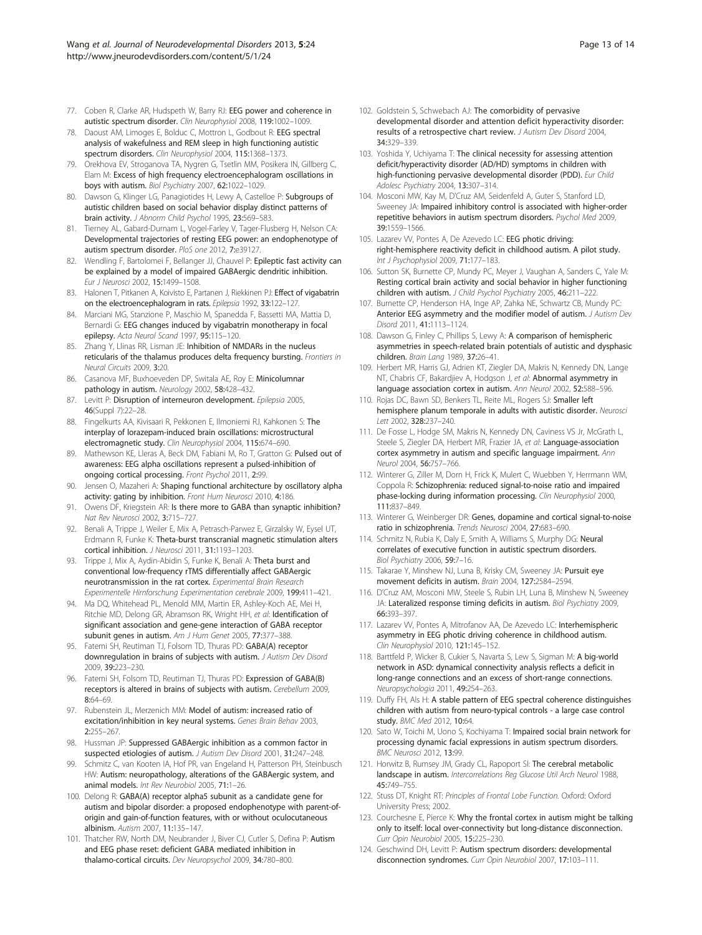- <span id="page-12-0"></span>77. Coben R, Clarke AR, Hudspeth W, Barry RJ: EEG power and coherence in autistic spectrum disorder. Clin Neurophysiol 2008, 119:1002–1009.
- 78. Daoust AM, Limoges E, Bolduc C, Mottron L, Godbout R: EEG spectral analysis of wakefulness and REM sleep in high functioning autistic spectrum disorders. Clin Neurophysiol 2004, 115:1368–1373.
- 79. Orekhova EV, Stroganova TA, Nygren G, Tsetlin MM, Posikera IN, Gillberg C, Elam M: Excess of high frequency electroencephalogram oscillations in boys with autism. Biol Psychiatry 2007, 62:1022–1029.
- 80. Dawson G, Klinger LG, Panagiotides H, Lewy A, Castelloe P: Subgroups of autistic children based on social behavior display distinct patterns of brain activity. J Abnorm Child Psychol 1995, 23:569–583.
- 81. Tierney AL, Gabard-Durnam L, Vogel-Farley V, Tager-Flusberg H, Nelson CA: Developmental trajectories of resting EEG power: an endophenotype of autism spectrum disorder. PloS one 2012, 7:e39127.
- 82. Wendling F, Bartolomei F, Bellanger JJ, Chauvel P: Epileptic fast activity can be explained by a model of impaired GABAergic dendritic inhibition. Eur J Neurosci 2002, 15:1499–1508.
- 83. Halonen T, Pitkanen A, Koivisto E, Partanen J, Riekkinen PJ: Effect of vigabatrin on the electroencephalogram in rats. Epilepsia 1992, 33:122–127.
- 84. Marciani MG, Stanzione P, Maschio M, Spanedda F, Bassetti MA, Mattia D, Bernardi G: EEG changes induced by vigabatrin monotherapy in focal epilepsy. Acta Neurol Scand 1997, 95:115–120.
- 85. Zhang Y, Llinas RR, Lisman JE: Inhibition of NMDARs in the nucleus reticularis of the thalamus produces delta frequency bursting. Frontiers in Neural Circuits 2009, 3:20.
- 86. Casanova MF, Buxhoeveden DP, Switala AE, Roy E: Minicolumnar pathology in autism. Neurology 2002, 58:428–432.
- 87. Levitt P: Disruption of interneuron development. Epilepsia 2005, 46(Suppl 7):22–28.
- 88. Fingelkurts AA, Kivisaari R, Pekkonen E, Ilmoniemi RJ, Kahkonen S: The interplay of lorazepam-induced brain oscillations: microstructural electromagnetic study. Clin Neurophysiol 2004, 115:674–690.
- 89. Mathewson KE, Lleras A, Beck DM, Fabiani M, Ro T, Gratton G: Pulsed out of awareness: EEG alpha oscillations represent a pulsed-inhibition of ongoing cortical processing. Front Psychol 2011, 2:99.
- 90. Jensen O, Mazaheri A: Shaping functional architecture by oscillatory alpha activity: gating by inhibition. Front Hum Neurosci 2010, 4:186
- 91. Owens DF, Kriegstein AR: Is there more to GABA than synaptic inhibition? Nat Rev Neurosci 2002, 3:715–727.
- 92. Benali A, Trippe J, Weiler E, Mix A, Petrasch-Parwez E, Girzalsky W, Eysel UT, Erdmann R, Funke K: Theta-burst transcranial magnetic stimulation alters cortical inhibition. J Neurosci 2011, 31:1193–1203.
- 93. Trippe J, Mix A, Aydin-Abidin S, Funke K, Benali A: Theta burst and conventional low-frequency rTMS differentially affect GABAergic neurotransmission in the rat cortex. Experimental Brain Research Experimentelle Hirnforschung Experimentation cerebrale 2009, 199:411–421.
- 94. Ma DQ, Whitehead PL, Menold MM, Martin ER, Ashley-Koch AE, Mei H, Ritchie MD, Delong GR, Abramson RK, Wright HH, et al: Identification of significant association and gene-gene interaction of GABA receptor subunit genes in autism. Am J Hum Genet 2005, 77:377-388.
- 95. Fatemi SH, Reutiman TJ, Folsom TD, Thuras PD: GABA(A) receptor downregulation in brains of subjects with autism. J Autism Dev Disord 2009, 39:223–230.
- 96. Fatemi SH, Folsom TD, Reutiman TJ, Thuras PD: Expression of GABA(B) receptors is altered in brains of subjects with autism. Cerebellum 2009, 8:64–69.
- 97. Rubenstein JL, Merzenich MM: Model of autism: increased ratio of excitation/inhibition in key neural systems. Genes Brain Behav 2003, 2:255–267.
- 98. Hussman JP: Suppressed GABAergic inhibition as a common factor in suspected etiologies of autism. J Autism Dev Disord 2001, 31:247–248.
- 99. Schmitz C, van Kooten IA, Hof PR, van Engeland H, Patterson PH, Steinbusch HW: Autism: neuropathology, alterations of the GABAergic system, and animal models. Int Rev Neurobiol 2005, 71:1–26.
- 100. Delong R: GABA(A) receptor alpha5 subunit as a candidate gene for autism and bipolar disorder: a proposed endophenotype with parent-oforigin and gain-of-function features, with or without oculocutaneous albinism. Autism 2007, 11:135–147.
- 101. Thatcher RW, North DM, Neubrander J, Biver CJ, Cutler S, Defina P: Autism and EEG phase reset: deficient GABA mediated inhibition in thalamo-cortical circuits. Dev Neuropsychol 2009, 34:780–800.
- 102. Goldstein S, Schwebach AJ: The comorbidity of pervasive developmental disorder and attention deficit hyperactivity disorder: results of a retrospective chart review. J Autism Dev Disord 2004, 34:329–339.
- 103. Yoshida Y, Uchiyama T: The clinical necessity for assessing attention deficit/hyperactivity disorder (AD/HD) symptoms in children with high-functioning pervasive developmental disorder (PDD). Eur Child Adolesc Psychiatry 2004, 13:307–314.
- 104. Mosconi MW, Kay M, D'Cruz AM, Seidenfeld A, Guter S, Stanford LD, Sweeney JA: Impaired inhibitory control is associated with higher-order repetitive behaviors in autism spectrum disorders. Psychol Med 2009, 39:1559–1566.
- 105. Lazarev W, Pontes A, De Azevedo LC: EEG photic driving: right-hemisphere reactivity deficit in childhood autism. A pilot study. Int J Psychophysiol 2009, 71:177–183.
- 106. Sutton SK, Burnette CP, Mundy PC, Meyer J, Vaughan A, Sanders C, Yale M: Resting cortical brain activity and social behavior in higher functioning children with autism. J Child Psychol Psychiatry 2005, 46:211-222.
- 107. Burnette CP, Henderson HA, Inge AP, Zahka NE, Schwartz CB, Mundy PC: Anterior EEG asymmetry and the modifier model of autism. J Autism Dev Disord 2011, 41:1113–1124.
- 108. Dawson G, Finley C, Phillips S, Lewy A: A comparison of hemispheric asymmetries in speech-related brain potentials of autistic and dysphasic children. Brain Lang 1989, 37:26–41.
- 109. Herbert MR, Harris GJ, Adrien KT, Ziegler DA, Makris N, Kennedy DN, Lange NT, Chabris CF, Bakardjiev A, Hodgson J, et al: Abnormal asymmetry in language association cortex in autism. Ann Neurol 2002, 52:588–596.
- 110. Rojas DC, Bawn SD, Benkers TL, Reite ML, Rogers SJ: Smaller left hemisphere planum temporale in adults with autistic disorder. Neurosci Lett 2002, 328:237–240.
- 111. De Fosse L, Hodge SM, Makris N, Kennedy DN, Caviness VS Jr, McGrath L, Steele S, Ziegler DA, Herbert MR, Frazier JA, et al: Language-association cortex asymmetry in autism and specific language impairment. Ann Neurol 2004, 56:757–766.
- 112. Winterer G, Ziller M, Dorn H, Frick K, Mulert C, Wuebben Y, Herrmann WM, Coppola R: Schizophrenia: reduced signal-to-noise ratio and impaired phase-locking during information processing. Clin Neurophysiol 2000, 111:837–849.
- 113. Winterer G, Weinberger DR: Genes, dopamine and cortical signal-to-noise ratio in schizophrenia. Trends Neurosci 2004, 27:683–690.
- 114. Schmitz N, Rubia K, Daly E, Smith A, Williams S, Murphy DG: Neural correlates of executive function in autistic spectrum disorders. Biol Psychiatry 2006, 59:7-16.
- 115. Takarae Y, Minshew NJ, Luna B, Krisky CM, Sweeney JA: Pursuit eye movement deficits in autism. Brain 2004, 127:2584–2594.
- 116. D'Cruz AM, Mosconi MW, Steele S, Rubin LH, Luna B, Minshew N, Sweeney JA: Lateralized response timing deficits in autism. Biol Psychiatry 2009, 66:393–397.
- 117. Lazarev W, Pontes A, Mitrofanov AA, De Azevedo LC: Interhemispheric asymmetry in EEG photic driving coherence in childhood autism. Clin Neurophysiol 2010, 121:145–152.
- 118. Barttfeld P, Wicker B, Cukier S, Navarta S, Lew S, Sigman M: A big-world network in ASD: dynamical connectivity analysis reflects a deficit in long-range connections and an excess of short-range connections. Neuropsychologia 2011, 49:254–263.
- 119. Duffy FH, Als H: A stable pattern of EEG spectral coherence distinguishes children with autism from neuro-typical controls - a large case control study. BMC Med 2012, 10:64.
- 120. Sato W, Toichi M, Uono S, Kochiyama T: Impaired social brain network for processing dynamic facial expressions in autism spectrum disorders. BMC Neurosci 2012, 13:99.
- 121. Horwitz B, Rumsey JM, Grady CL, Rapoport SI: The cerebral metabolic landscape in autism. Intercorrelations Reg Glucose Util Arch Neurol 1988, 45:749–755.
- 122. Stuss DT, Knight RT: Principles of Frontal Lobe Function. Oxford: Oxford University Press; 2002.
- 123. Courchesne E, Pierce K: Why the frontal cortex in autism might be talking only to itself: local over-connectivity but long-distance disconnection. Curr Opin Neurobiol 2005, 15:225–230.
- 124. Geschwind DH, Levitt P: Autism spectrum disorders: developmental disconnection syndromes. Curr Opin Neurobiol 2007, 17:103–111.